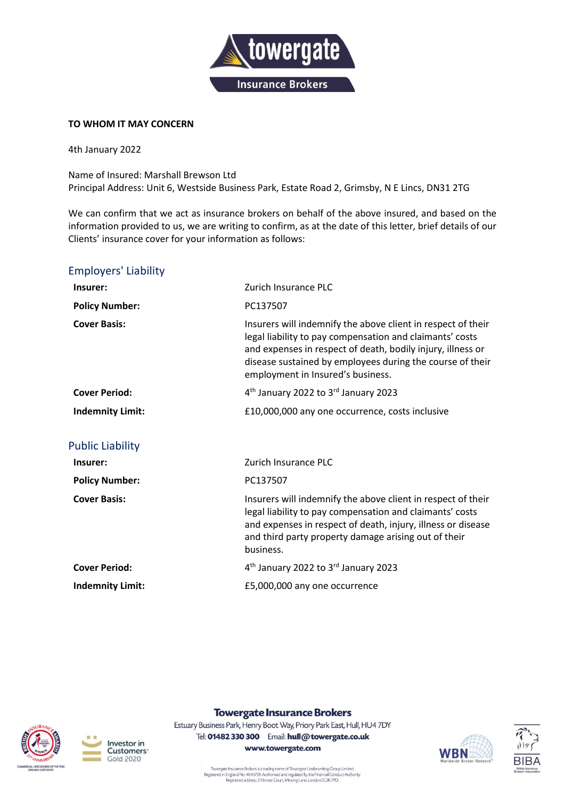

## **TO WHOM IT MAY CONCERN**

4th January 2022

Name of Insured: Marshall Brewson Ltd Principal Address: Unit 6, Westside Business Park, Estate Road 2, Grimsby, N E Lincs, DN31 2TG

We can confirm that we act as insurance brokers on behalf of the above insured, and based on the information provided to us, we are writing to confirm, as at the date of this letter, brief details of our Clients' insurance cover for your information as follows:

## Employers' Liability

| Insurer:                | Zurich Insurance PLC                                                                                                                                                                                                                                                                      |
|-------------------------|-------------------------------------------------------------------------------------------------------------------------------------------------------------------------------------------------------------------------------------------------------------------------------------------|
| <b>Policy Number:</b>   | PC137507                                                                                                                                                                                                                                                                                  |
| <b>Cover Basis:</b>     | Insurers will indemnify the above client in respect of their<br>legal liability to pay compensation and claimants' costs<br>and expenses in respect of death, bodily injury, illness or<br>disease sustained by employees during the course of their<br>employment in Insured's business. |
| <b>Cover Period:</b>    | 4 <sup>th</sup> January 2022 to 3 <sup>rd</sup> January 2023                                                                                                                                                                                                                              |
| <b>Indemnity Limit:</b> | £10,000,000 any one occurrence, costs inclusive                                                                                                                                                                                                                                           |
| <b>Public Liability</b> |                                                                                                                                                                                                                                                                                           |
| Insurer:                | Zurich Insurance PLC                                                                                                                                                                                                                                                                      |
| <b>Policy Number:</b>   | PC137507                                                                                                                                                                                                                                                                                  |
| <b>Cover Basis:</b>     | Insurers will indemnify the above client in respect of their<br>legal liability to pay compensation and claimants' costs<br>and expenses in respect of death, injury, illness or disease<br>and third party property damage arising out of their<br>business.                             |
| <b>Cover Period:</b>    | 4 <sup>th</sup> January 2022 to 3 <sup>rd</sup> January 2023                                                                                                                                                                                                                              |
| <b>Indemnity Limit:</b> | £5,000,000 any one occurrence                                                                                                                                                                                                                                                             |





## **Towergate Insurance Brokers**

Estuary Business Park, Henry Boot Way, Priory Park East, Hull, HU4 7DY Tel: 01482 330 300 Email: hull@towergate.co.uk www.towergate.com